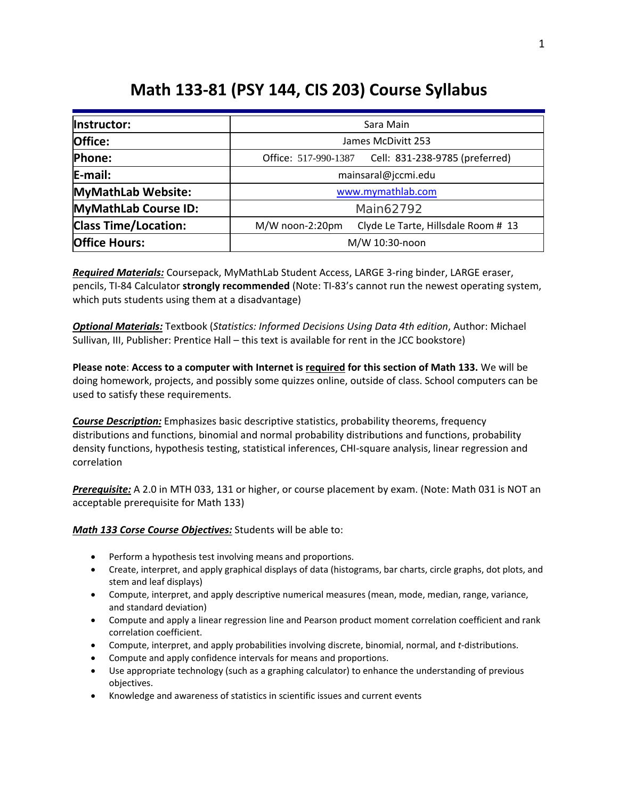# **Math 133-81 (PSY 144, CIS 203) Course Syllabus**

| Instructor:                 | Sara Main                                              |  |
|-----------------------------|--------------------------------------------------------|--|
| Office:                     | James McDivitt 253                                     |  |
| Phone:                      | Cell: 831-238-9785 (preferred)<br>Office: 517-990-1387 |  |
| E-mail:                     | mainsaral@jccmi.edu                                    |  |
| MyMathLab Website:          | www.mymathlab.com                                      |  |
| MyMathLab Course ID:        | Main62792                                              |  |
| <b>Class Time/Location:</b> | Clyde Le Tarte, Hillsdale Room # 13<br>M/W noon-2:20pm |  |
| <b>Office Hours:</b>        | M/W 10:30-noon                                         |  |

*Required Materials:* Coursepack, MyMathLab Student Access, LARGE 3-ring binder, LARGE eraser, pencils, TI-84 Calculator **strongly recommended** (Note: TI-83's cannot run the newest operating system, which puts students using them at a disadvantage)

*Optional Materials:* Textbook (*Statistics: Informed Decisions Using Data 4th edition*, Author: Michael Sullivan, III, Publisher: Prentice Hall – this text is available for rent in the JCC bookstore)

**Please note**: **Access to a computer with Internet is required for this section of Math 133.** We will be doing homework, projects, and possibly some quizzes online, outside of class. School computers can be used to satisfy these requirements.

*Course Description:* Emphasizes basic descriptive statistics, probability theorems, frequency distributions and functions, binomial and normal probability distributions and functions, probability density functions, hypothesis testing, statistical inferences, CHI-square analysis, linear regression and correlation

*Prerequisite:* A 2.0 in MTH 033, 131 or higher, or course placement by exam. (Note: Math 031 is NOT an acceptable prerequisite for Math 133)

*Math 133 Corse Course Objectives:* Students will be able to:

- Perform a hypothesis test involving means and proportions.
- Create, interpret, and apply graphical displays of data (histograms, bar charts, circle graphs, dot plots, and stem and leaf displays)
- Compute, interpret, and apply descriptive numerical measures (mean, mode, median, range, variance, and standard deviation)
- Compute and apply a linear regression line and Pearson product moment correlation coefficient and rank correlation coefficient.
- Compute, interpret, and apply probabilities involving discrete, binomial, normal, and *t*-distributions.
- Compute and apply confidence intervals for means and proportions.
- Use appropriate technology (such as a graphing calculator) to enhance the understanding of previous objectives.
- Knowledge and awareness of statistics in scientific issues and current events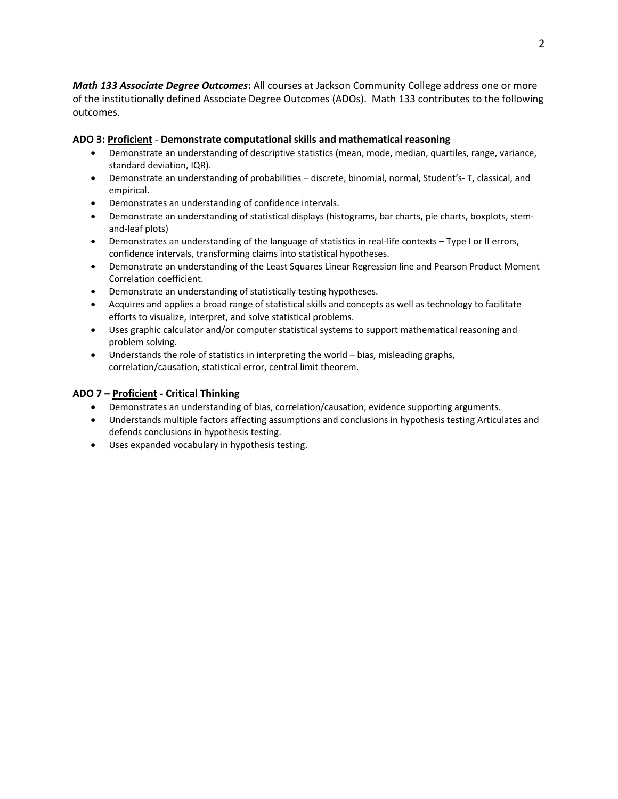*Math 133 Associate Degree Outcomes***:** All courses at Jackson Community College address one or more of the institutionally defined Associate Degree Outcomes (ADOs). Math 133 contributes to the following outcomes.

### **ADO 3: Proficient** - **Demonstrate computational skills and mathematical reasoning**

- Demonstrate an understanding of descriptive statistics (mean, mode, median, quartiles, range, variance, standard deviation, IQR).
- Demonstrate an understanding of probabilities discrete, binomial, normal, Student's- T, classical, and empirical.
- Demonstrates an understanding of confidence intervals.
- Demonstrate an understanding of statistical displays (histograms, bar charts, pie charts, boxplots, stemand-leaf plots)
- Demonstrates an understanding of the language of statistics in real-life contexts Type I or II errors, confidence intervals, transforming claims into statistical hypotheses.
- Demonstrate an understanding of the Least Squares Linear Regression line and Pearson Product Moment Correlation coefficient.
- Demonstrate an understanding of statistically testing hypotheses.
- Acquires and applies a broad range of statistical skills and concepts as well as technology to facilitate efforts to visualize, interpret, and solve statistical problems.
- Uses graphic calculator and/or computer statistical systems to support mathematical reasoning and problem solving.
- Understands the role of statistics in interpreting the world bias, misleading graphs, correlation/causation, statistical error, central limit theorem.

## **ADO 7 – Proficient - Critical Thinking**

- Demonstrates an understanding of bias, correlation/causation, evidence supporting arguments.
- Understands multiple factors affecting assumptions and conclusions in hypothesis testing Articulates and defends conclusions in hypothesis testing.
- Uses expanded vocabulary in hypothesis testing.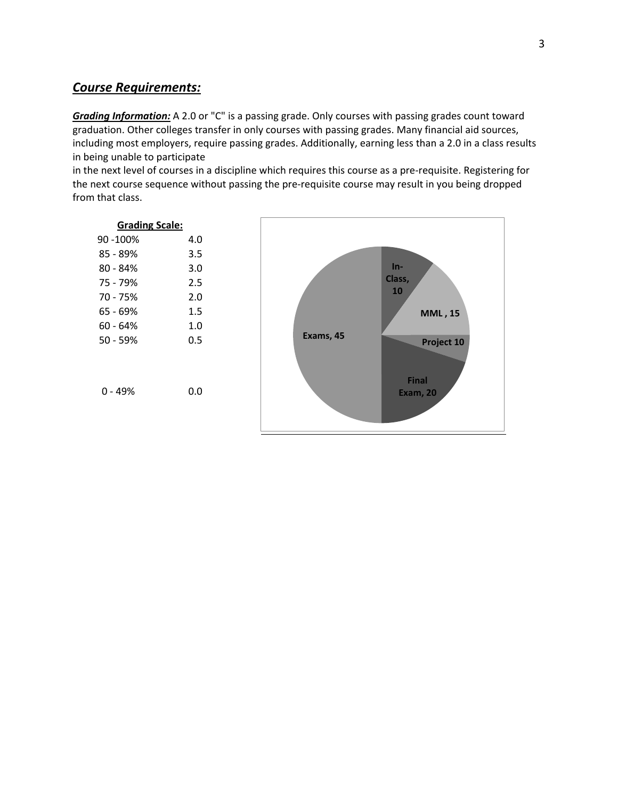# *Course Requirements:*

*Grading Information:* A 2.0 or "C" is a passing grade. Only courses with passing grades count toward graduation. Other colleges transfer in only courses with passing grades. Many financial aid sources, including most employers, require passing grades. Additionally, earning less than a 2.0 in a class results in being unable to participate

in the next level of courses in a discipline which requires this course as a pre-requisite. Registering for the next course sequence without passing the pre-requisite course may result in you being dropped from that class.

| <b>Grading Scale:</b> |     |  |
|-----------------------|-----|--|
| 90 -100%              | 4.0 |  |
| 85 - 89%              | 3.5 |  |
| $80 - 84%$            | 3.0 |  |
| 75 - 79%              | 2.5 |  |
| 70 - 75%              | 2.0 |  |
| 65 - 69%              | 1.5 |  |
| 60 - 64%              | 1.0 |  |
| $50 - 59%$            | 0.5 |  |
|                       |     |  |
| 0 - 49%               | 0.0 |  |

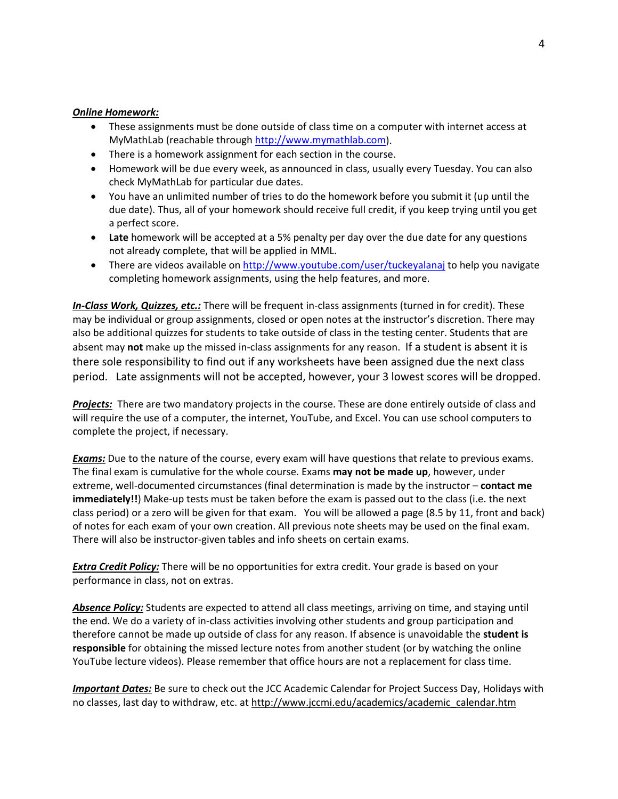#### *Online Homework:*

- These assignments must be done outside of class time on a computer with internet access at MyMathLab (reachable through [http://www.mymathlab.com\)](http://www.mymathlab.com/).
- There is a homework assignment for each section in the course.
- Homework will be due every week, as announced in class, usually every Tuesday. You can also check MyMathLab for particular due dates.
- You have an unlimited number of tries to do the homework before you submit it (up until the due date). Thus, all of your homework should receive full credit, if you keep trying until you get a perfect score.
- **Late** homework will be accepted at a 5% penalty per day over the due date for any questions not already complete, that will be applied in MML.
- There are videos available on<http://www.youtube.com/user/tuckeyalanaj> to help you navigate completing homework assignments, using the help features, and more.

*In-Class Work, Quizzes, etc.:* There will be frequent in-class assignments (turned in for credit). These may be individual or group assignments, closed or open notes at the instructor's discretion. There may also be additional quizzes for students to take outside of class in the testing center. Students that are absent may **not** make up the missed in-class assignments for any reason. If a student is absent it is there sole responsibility to find out if any worksheets have been assigned due the next class period. Late assignments will not be accepted, however, your 3 lowest scores will be dropped.

*Projects:* There are two mandatory projects in the course. These are done entirely outside of class and will require the use of a computer, the internet, YouTube, and Excel. You can use school computers to complete the project, if necessary.

*Exams:* Due to the nature of the course, every exam will have questions that relate to previous exams. The final exam is cumulative for the whole course. Exams **may not be made up**, however, under extreme, well-documented circumstances (final determination is made by the instructor – **contact me immediately!!**) Make-up tests must be taken before the exam is passed out to the class (i.e. the next class period) or a zero will be given for that exam. You will be allowed a page (8.5 by 11, front and back) of notes for each exam of your own creation. All previous note sheets may be used on the final exam. There will also be instructor-given tables and info sheets on certain exams.

*Extra Credit Policy:* There will be no opportunities for extra credit. Your grade is based on your performance in class, not on extras.

*Absence Policy:* Students are expected to attend all class meetings, arriving on time, and staying until the end. We do a variety of in-class activities involving other students and group participation and therefore cannot be made up outside of class for any reason. If absence is unavoidable the **student is responsible** for obtaining the missed lecture notes from another student (or by watching the online YouTube lecture videos). Please remember that office hours are not a replacement for class time.

*Important Dates:* Be sure to check out the JCC Academic Calendar for Project Success Day, Holidays with no classes, last day to withdraw, etc. at [http://www.jccmi.edu/academics/academic\\_calendar.htm](http://www.jccmi.edu/academics/academic_calendar.htm)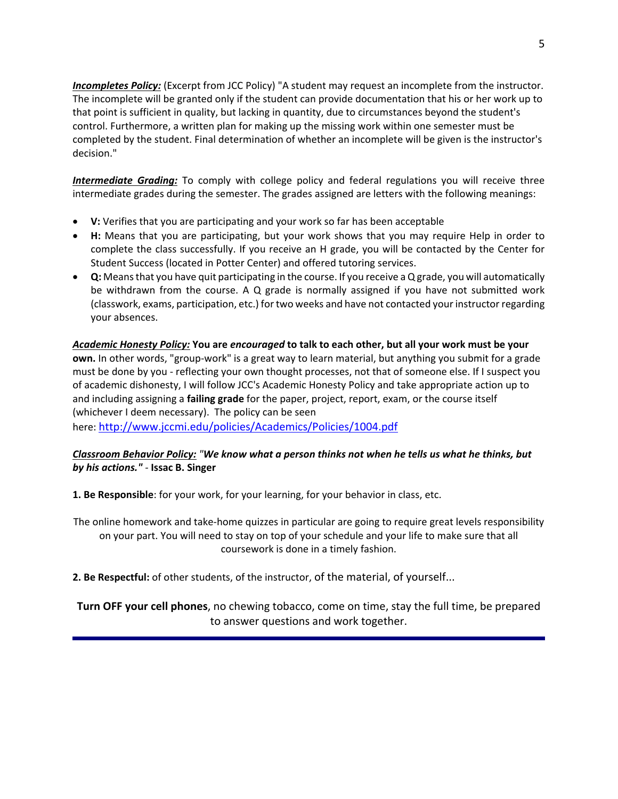**Incompletes Policy:** (Excerpt from JCC Policy) "A student may request an incomplete from the instructor. The incomplete will be granted only if the student can provide documentation that his or her work up to that point is sufficient in quality, but lacking in quantity, due to circumstances beyond the student's control. Furthermore, a written plan for making up the missing work within one semester must be completed by the student. Final determination of whether an incomplete will be given is the instructor's decision."

*Intermediate Grading:* To comply with college policy and federal regulations you will receive three intermediate grades during the semester. The grades assigned are letters with the following meanings:

- **V:** Verifies that you are participating and your work so far has been acceptable
- **H:** Means that you are participating, but your work shows that you may require Help in order to complete the class successfully. If you receive an H grade, you will be contacted by the Center for Student Success (located in Potter Center) and offered tutoring services.
- **Q:** Means that you have quit participating in the course. If you receive a Q grade, you will automatically be withdrawn from the course. A Q grade is normally assigned if you have not submitted work (classwork, exams, participation, etc.) for two weeks and have not contacted your instructor regarding your absences.

### *Academic Honesty Policy:* **You are** *encouraged* **to talk to each other, but all your work must be your**

**own.** In other words, "group-work" is a great way to learn material, but anything you submit for a grade must be done by you - reflecting your own thought processes, not that of someone else. If I suspect you of academic dishonesty, I will follow JCC's Academic Honesty Policy and take appropriate action up to and including assigning a **failing grade** for the paper, project, report, exam, or the course itself (whichever I deem necessary). The policy can be seen

here:<http://www.jccmi.edu/policies/Academics/Policies/1004.pdf>

# *Classroom Behavior Policy: "We know what a person thinks not when he tells us what he thinks, but by his actions." -* **Issac B. Singer**

**1. Be Responsible**: for your work, for your learning, for your behavior in class, etc.

The online homework and take-home quizzes in particular are going to require great levels responsibility on your part. You will need to stay on top of your schedule and your life to make sure that all coursework is done in a timely fashion.

**2. Be Respectful:** of other students, of the instructor, of the material, of yourself...

**Turn OFF your cell phones**, no chewing tobacco, come on time, stay the full time, be prepared to answer questions and work together.